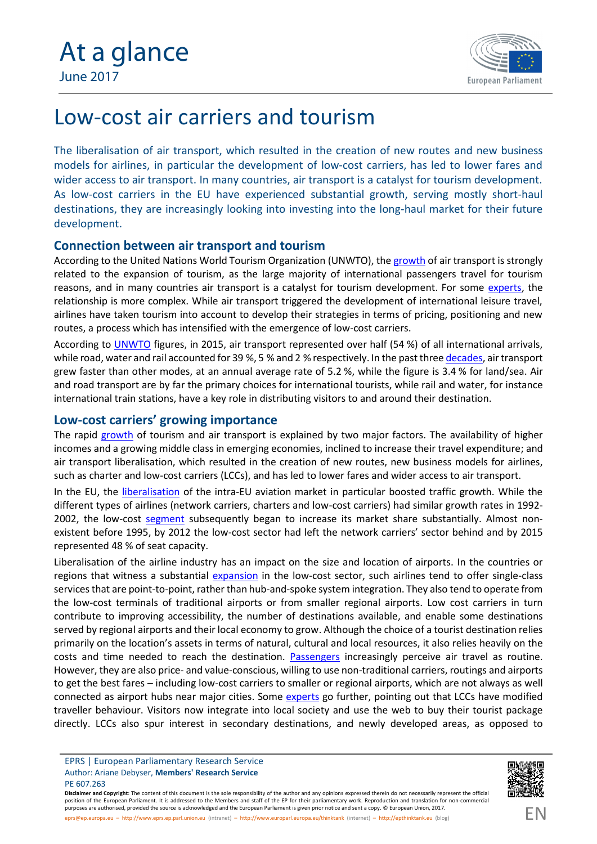

# Low-cost air carriers and tourism

The liberalisation of air transport, which resulted in the creation of new routes and new business models for airlines, in particular the development of low-cost carriers, has led to lower fares and wider access to air transport. In many countries, air transport is a catalyst for tourism development. As low-cost carriers in the EU have experienced substantial growth, serving mostly short-haul destinations, they are increasingly looking into investing into the long-haul market for their future development.

## **Connection between air transport and tourism**

According to the United Nations World Tourism Organization (UNWTO), the [growth](http://cf.cdn.unwto.org/sites/all/files/pdf/background_paper_tourism_air_transport_policies_unwto_ga20_rev1.pdf) of air transport is strongly related to the expansion of tourism, as the large majority of international passengers travel for tourism reasons, and in many countries air transport is a catalyst for tourism development. For some [experts](http://www.cieo.pt/journal/J_4_2015/article2.pdf), the relationship is more complex. While air transport triggered the development of international leisure travel, airlines have taken tourism into account to develop their strategies in terms of pricing, positioning and new routes, a process which has intensified with the emergence of low-cost carriers.

According to **[UNWTO](http://www.e-unwto.org/doi/pdf/10.18111/9789284418145)** figures, in 2015, air transport represented over half (54 %) of all international arrivals, while road, water and rail accounted for 39 %, 5 % and 2 % respectively. In the past three [decades](http://www.oecd-ilibrary.org/docserver/download/8515041e.pdf?expires=1496149693&id=id&accname=guest&checksum=FD7E745F8A0D74433D530132E2E7EF46), air transport grew faster than other modes, at an annual average rate of 5.2 %, while the figure is 3.4 % for land/sea. Air and road transport are by far the primary choices for international tourists, while rail and water, for instance international train stations, have a key role in distributing visitors to and around their destination.

### **Low-cost carriers' growing importance**

The rapid [growth](http://www.oecd-ilibrary.org/industry-and-services/oecd-tourism-trends-and-policies-2016_tour-2016-en;jsessionid=7j8g89k4i7o84.x-oecd-live-03) of tourism and air transport is explained by two major factors. The availability of higher incomes and a growing middle class in emerging economies, inclined to increase their travel expenditure; and air transport liberalisation, which resulted in the creation of new routes, new business models for airlines, such as charter and low-cost carriers (LCCs), and has led to lower fares and wider access to air transport.

In the EU, the [liberalisation](http://eur-lex.europa.eu/legal-content/EN/TXT/PDF/?uri=CELEX:52015SC0261&from=EN) of the intra-EU aviation market in particular boosted traffic growth. While the different types of airlines (network carriers, charters and low-cost carriers) had similar growth rates in 1992 2002, the low-cost [segment](http://eur-lex.europa.eu/legal-content/EN/TXT/PDF/?uri=CELEX:52015SC0261&from=EN) subsequently began to increase its market share substantially. Almost nonexistent before 1995, by 2012 the low-cost sector had left the network carriers' sector behind and by 2015 represented 48 % of seat capacity.

Liberalisation of the airline industry has an impact on the size and location of airports. In the countries or regions that witness a substantial [expansion](http://www.oecd-ilibrary.org/industry-and-services/oecd-tourism-trends-and-policies-2016_tour-2016-en) in the low-cost sector, such airlines tend to offer single-class services that are point-to-point, rather than hub-and-spoke system integration. They also tend to operate from the low-cost terminals of traditional airports or from smaller regional airports. Low cost carriers in turn contribute to improving accessibility, the number of destinations available, and enable some destinations served by regional airports and their local economy to grow. Although the choice of a tourist destination relies primarily on the location's assets in terms of natural, cultural and local resources, it also relies heavily on the costs and time needed to reach the destination. [Passengers](http://www.oecd-ilibrary.org/industry-and-services/oecd-tourism-trends-and-policies-2016_tour-2016-en) increasingly perceive air travel as routine. However, they are also price- and value-conscious, willing to use non-traditional carriers, routings and airports to get the best fares – including low-cost carriers to smaller or regional airports, which are not always as well connected as airport hubs near major cities. Some [experts](http://www.cieo.pt/journal/J_4_2015/article2.pdf) go further, pointing out that LCCs have modified traveller behaviour. Visitors now integrate into local society and use the web to buy their tourist package directly. LCCs also spur interest in secondary destinations, and newly developed areas, as opposed to



Disclaimer and Copyright: The content of this document is the sole responsibility of the author and any opinions expressed therein do not necessarily represent the official position of the European Parliament. It is addressed to the Members and staff of the EP for their parliamentary work. Reproduction and translation for non-commercial purposes are authorised, provided the source is acknowledged and the European Parliament is given prior notice and sent a copy. © European Union, 2017. [eprs@ep.europa.eu](mailto:eprs@ep.europa.eu) – [http://www.eprs.ep.parl.union.eu](http://www.eprs.ep.parl.union.eu/) (intranet) – <http://www.europarl.europa.eu/thinktank> (internet) – [http://epthinktank.eu](http://epthinktank.eu/) (blog)